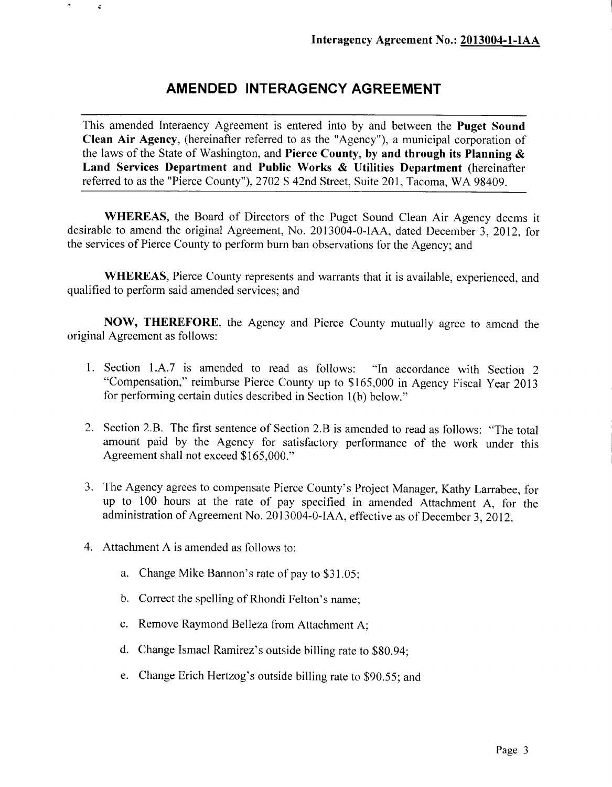## **AMENDED INTERAGENCY AGREEMENT**

This amended Interaency Agreement is entered into by and between the **Puget Sound Clean Air Agency,** (hereinafter referred to as the "Agency"), a municipal corporation of the laws of the State of Washington, and **Pierce County, by and through its Planning** *&* **Land Services Department and Public Works** *&* **Utilities Department** (hereinafter referred to as the "Pierce County"), 2702 S 42nd Street, Suite 201, Tacoma, WA 98409.

**WHEREAS,** the Board of Directors of the Puget Sound Clean Air Agency deems it desirable to amend the original Agreement, No. 2013004-0-IAA, dated December 3, 2012, for the services of Pierce County to perform burn ban observations for the Agency; and

**WHEREAS,** Pierce County represents and warrants that it is available, experienced, and qualified to perform said amended services; and

**NOW, THEREFORE,** the Agency and Pierce County mutually agree to amend the original Agreement as follows:

- 1. Section 1.A.7 is amended to read as follows: "In accordance with Section 2 "Compensation," reimburse Pierce County up to \$165,000 in Agency Fiscal Year 2013 for performing certain duties described in Section l(b) below."
- 2. Section 2.B. The first sentence of Section 2.B is amended to read as follows: "The total amount paid by the Agency for satisfactory performance of the work under this Agreement shall not exceed \$165,000."
- 3. The Agency agrees to compensate Pierce County's Project Manager, Kathy Larrabee, for up to 100 hours at the rate of pay specified in amended Attachment A, for the administration of Agreement No. 2013004-0-IAA, effective as of December 3, 2012.
- 4. Attachment A is amended as follows to:

š,

- a. Change Mike Bannon's rate of pay to \$31.05;
- b. Correct the spelling of Rhondi Felton's name;
- c. Remove Raymond Belleza from Attachment A;
- d. Change Ismael Ramirez's outside billing rate to \$80.94;
- e. Change Erich Hertzog's outside billing rate to \$90.55; and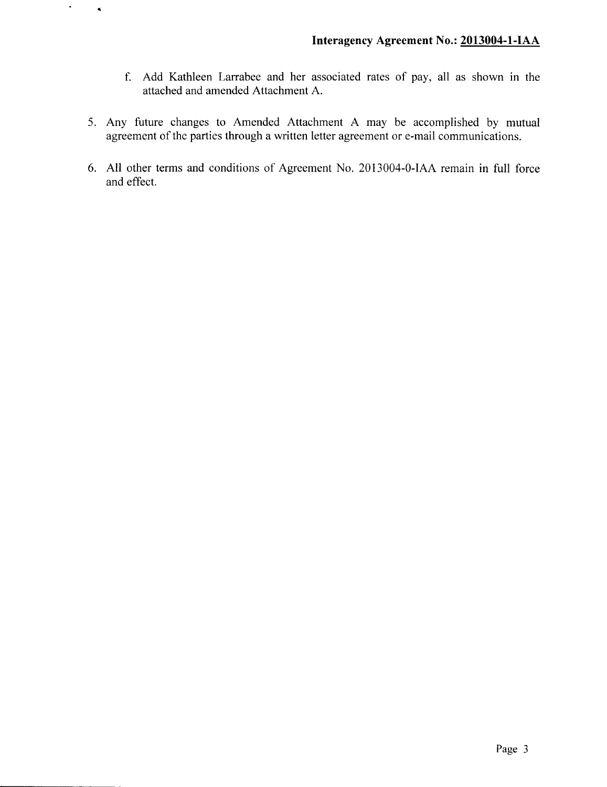- f. Add Kathleen Larrabee and her associated rates of pay, all as shown in the attached and amended Attachment A.
- 5. Any future changes to Amended Attachment A may be accomplished by mutual agreement of the parties through a written letter agreement or e-mail communications.

 $\bullet$ 

 $\bullet$ 

6. All other terms and conditions of Agreement No. 2013004-0-IAA remain in full force and effect.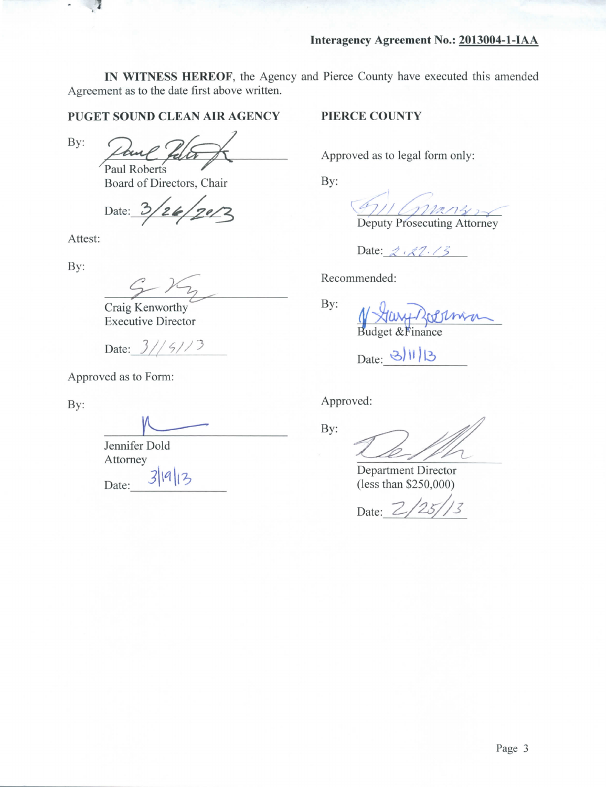**IN WITNESS HEREOF,** the Agency and Pierce County have executed this amended Agreement as to the date first above written.

## **PUGET SOUND CLEAN AIR AGENCY**

By:

^Paul Roberts *f*

Board of Directors, Chair

Date:  $3/26/$  $120/2$ 

Attest:

By:

Craig Kenworthy Executive Director

Date:  $3// 5// 3$ 

Approved as to Form:

By:

Jennifer Dold Attorney  $3|9|13$ Date:

## **PIERCE COUNTY**

Approved as to legal form only:

By:

Deputy Prosecuting Attorney

Date: 2.27.73

Recommended:

By: Budget & Finance

Date: 3/11/13

Approved:

By:

Department Director (less than \$250,000)

Date: